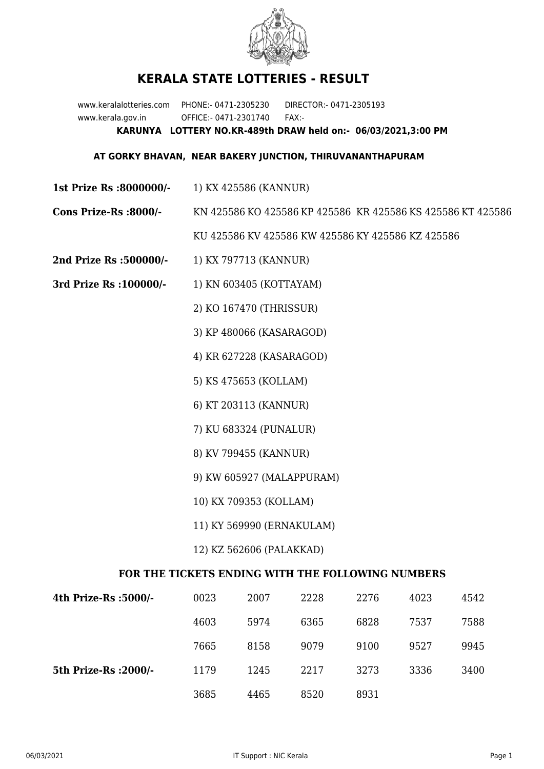

## **KERALA STATE LOTTERIES - RESULT**

www.keralalotteries.com PHONE:- 0471-2305230 DIRECTOR:- 0471-2305193 www.kerala.gov.in OFFICE:- 0471-2301740 FAX:- **KARUNYA LOTTERY NO.KR-489th DRAW held on:- 06/03/2021,3:00 PM**

## **AT GORKY BHAVAN, NEAR BAKERY JUNCTION, THIRUVANANTHAPURAM**

- **1st Prize Rs :8000000/-** 1) KX 425586 (KANNUR)
- **Cons Prize-Rs :8000/-** KN 425586 KO 425586 KP 425586 KR 425586 KS 425586 KT 425586

KU 425586 KV 425586 KW 425586 KY 425586 KZ 425586

- **2nd Prize Rs :500000/-** 1) KX 797713 (KANNUR)
- **3rd Prize Rs :100000/-** 1) KN 603405 (KOTTAYAM)

2) KO 167470 (THRISSUR)

- 3) KP 480066 (KASARAGOD)
- 4) KR 627228 (KASARAGOD)
- 5) KS 475653 (KOLLAM)
- 6) KT 203113 (KANNUR)
- 7) KU 683324 (PUNALUR)
- 8) KV 799455 (KANNUR)
- 9) KW 605927 (MALAPPURAM)
- 10) KX 709353 (KOLLAM)
- 11) KY 569990 (ERNAKULAM)
- 12) KZ 562606 (PALAKKAD)

## **FOR THE TICKETS ENDING WITH THE FOLLOWING NUMBERS**

| 4th Prize-Rs :5000/-  | 0023 | 2007 | 2228 | 2276 | 4023 | 4542 |
|-----------------------|------|------|------|------|------|------|
|                       | 4603 | 5974 | 6365 | 6828 | 7537 | 7588 |
|                       | 7665 | 8158 | 9079 | 9100 | 9527 | 9945 |
| 5th Prize-Rs : 2000/- | 1179 | 1245 | 2217 | 3273 | 3336 | 3400 |
|                       | 3685 | 4465 | 8520 | 8931 |      |      |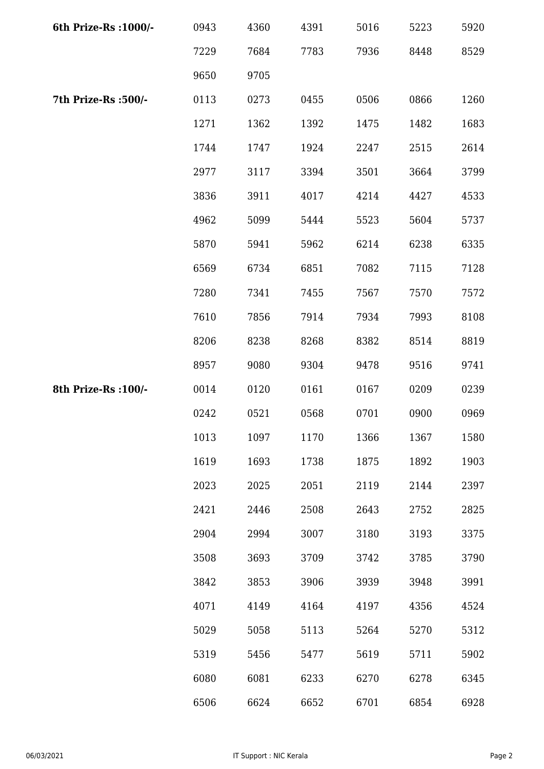| 6th Prize-Rs : 1000/- | 0943 | 4360 | 4391 | 5016 | 5223 | 5920 |
|-----------------------|------|------|------|------|------|------|
|                       | 7229 | 7684 | 7783 | 7936 | 8448 | 8529 |
|                       | 9650 | 9705 |      |      |      |      |
| 7th Prize-Rs :500/-   | 0113 | 0273 | 0455 | 0506 | 0866 | 1260 |
|                       | 1271 | 1362 | 1392 | 1475 | 1482 | 1683 |
|                       | 1744 | 1747 | 1924 | 2247 | 2515 | 2614 |
|                       | 2977 | 3117 | 3394 | 3501 | 3664 | 3799 |
|                       | 3836 | 3911 | 4017 | 4214 | 4427 | 4533 |
|                       | 4962 | 5099 | 5444 | 5523 | 5604 | 5737 |
|                       | 5870 | 5941 | 5962 | 6214 | 6238 | 6335 |
|                       | 6569 | 6734 | 6851 | 7082 | 7115 | 7128 |
|                       | 7280 | 7341 | 7455 | 7567 | 7570 | 7572 |
|                       | 7610 | 7856 | 7914 | 7934 | 7993 | 8108 |
|                       | 8206 | 8238 | 8268 | 8382 | 8514 | 8819 |
|                       | 8957 | 9080 | 9304 | 9478 | 9516 | 9741 |
| 8th Prize-Rs : 100/-  | 0014 | 0120 | 0161 | 0167 | 0209 | 0239 |
|                       | 0242 | 0521 | 0568 | 0701 | 0900 | 0969 |
|                       | 1013 | 1097 | 1170 | 1366 | 1367 | 1580 |
|                       | 1619 | 1693 | 1738 | 1875 | 1892 | 1903 |
|                       | 2023 | 2025 | 2051 | 2119 | 2144 | 2397 |
|                       | 2421 | 2446 | 2508 | 2643 | 2752 | 2825 |
|                       | 2904 | 2994 | 3007 | 3180 | 3193 | 3375 |
|                       | 3508 | 3693 | 3709 | 3742 | 3785 | 3790 |
|                       | 3842 | 3853 | 3906 | 3939 | 3948 | 3991 |
|                       | 4071 | 4149 | 4164 | 4197 | 4356 | 4524 |
|                       | 5029 | 5058 | 5113 | 5264 | 5270 | 5312 |
|                       | 5319 | 5456 | 5477 | 5619 | 5711 | 5902 |
|                       | 6080 | 6081 | 6233 | 6270 | 6278 | 6345 |
|                       | 6506 | 6624 | 6652 | 6701 | 6854 | 6928 |